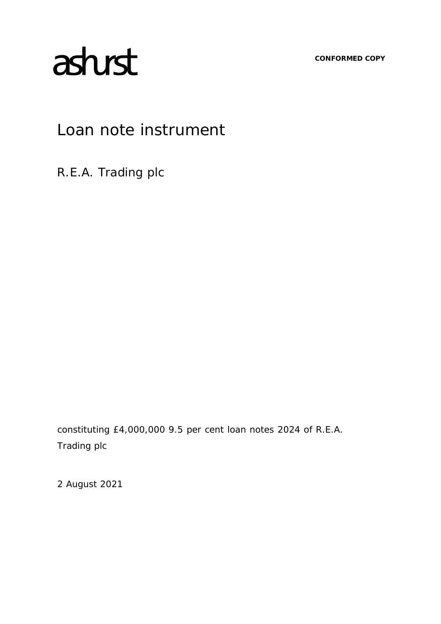**CONFORMED COPY**

# astust

# Loan note instrument

R.E.A. Trading plc

constituting £4,000,000 9.5 per cent loan notes 2024 of R.E.A. Trading plc

2 August 2021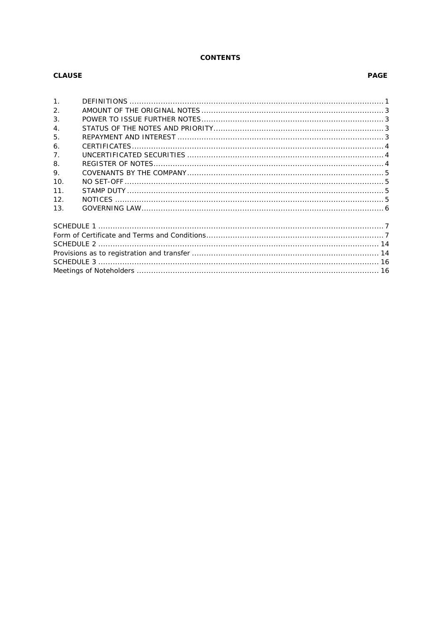# **CONTENTS**

# **CLAUSE**

# **PAGE**

| 1 <sub>1</sub>   |  |  |  |  |
|------------------|--|--|--|--|
| 2.               |  |  |  |  |
| 3.               |  |  |  |  |
| $\overline{4}$ . |  |  |  |  |
| 5.               |  |  |  |  |
| 6.               |  |  |  |  |
| 7 <sub>1</sub>   |  |  |  |  |
| 8.               |  |  |  |  |
| 9.               |  |  |  |  |
| 10.              |  |  |  |  |
| 11.              |  |  |  |  |
| 12.              |  |  |  |  |
| 13.              |  |  |  |  |
|                  |  |  |  |  |
|                  |  |  |  |  |
|                  |  |  |  |  |
|                  |  |  |  |  |
|                  |  |  |  |  |
|                  |  |  |  |  |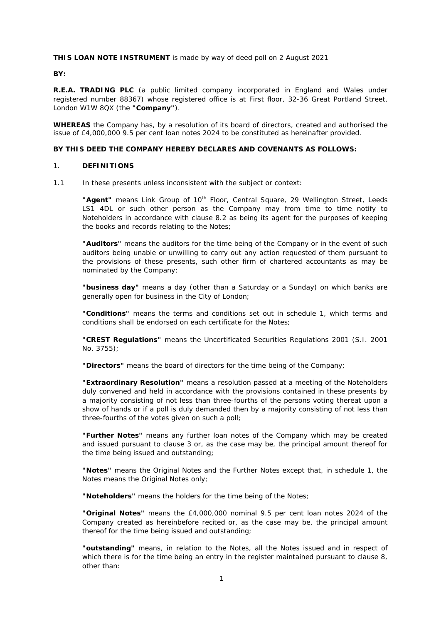# **THIS LOAN NOTE INSTRUMENT** is made by way of deed poll on 2 August 2021

#### **BY:**

**R.E.A. TRADING PLC** (a public limited company incorporated in England and Wales under registered number 88367) whose registered office is at First floor, 32-36 Great Portland Street, London W1W 8QX (the **"Company"**).

**WHEREAS** the Company has, by a resolution of its board of directors, created and authorised the issue of £4,000,000 9.5 per cent loan notes 2024 to be constituted as hereinafter provided.

# **BY THIS DEED THE COMPANY HEREBY DECLARES AND COVENANTS AS FOLLOWS:**

#### 1. **DEFINITIONS**

1.1 In these presents unless inconsistent with the subject or context:

"Aaent" means Link Group of 10<sup>th</sup> Floor, Central Square, 29 Wellington Street, Leeds LS1 4DL or such other person as the Company may from time to time notify to Noteholders in accordance with clause [8.2](#page-6-0) as being its agent for the purposes of keeping the books and records relating to the Notes;

**"Auditors"** means the auditors for the time being of the Company or in the event of such auditors being unable or unwilling to carry out any action requested of them pursuant to the provisions of these presents, such other firm of chartered accountants as may be nominated by the Company;

**"business day"** means a day (other than a Saturday or a Sunday) on which banks are generally open for business in the City of London;

**"Conditions"** means the terms and conditions set out in [schedule 1,](#page-8-0) which terms and conditions shall be endorsed on each certificate for the Notes;

**"CREST Regulations"** means the Uncertificated Securities Regulations 2001 (S.I. 2001 No. 3755);

**"Directors"** means the board of directors for the time being of the Company;

**"Extraordinary Resolution"** means a resolution passed at a meeting of the Noteholders duly convened and held in accordance with the provisions contained in these presents by a majority consisting of not less than three-fourths of the persons voting thereat upon a show of hands or if a poll is duly demanded then by a majority consisting of not less than three-fourths of the votes given on such a poll;

**"Further Notes"** means any further loan notes of the Company which may be created and issued pursuant to clause [3](#page-4-0) or, as the case may be, the principal amount thereof for the time being issued and outstanding;

**"Notes"** means the Original Notes and the Further Notes except that, in schedule 1, the Notes means the Original Notes only:

**"Noteholders"** means the holders for the time being of the Notes;

**"Original Notes"** means the £4,000,000 nominal 9.5 per cent loan notes 2024 of the Company created as hereinbefore recited or, as the case may be, the principal amount thereof for the time being issued and outstanding;

**"outstanding"** means, in relation to the Notes, all the Notes issued and in respect of which there is for the time being an entry in the register maintained pursuant to clause [8,](#page-5-0) other than: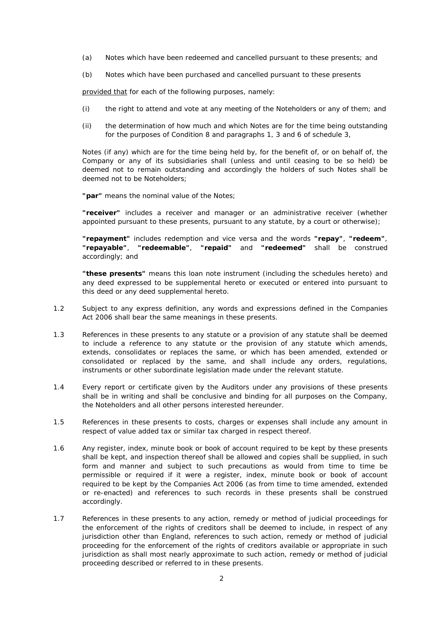- (a) Notes which have been redeemed and cancelled pursuant to these presents; and
- (b) Notes which have been purchased and cancelled pursuant to these presents

provided that for each of the following purposes, namely:

- (i) the right to attend and vote at any meeting of the Noteholders or any of them; and
- (ii) the determination of how much and which Notes are for the time being outstanding for the purposes of Condition [8](#page-11-0) and paragraphs 1, 3 and 6 of schedule 3,

Notes (if any) which are for the time being held by, for the benefit of, or on behalf of, the Company or any of its subsidiaries shall (unless and until ceasing to be so held) be deemed not to remain outstanding and accordingly the holders of such Notes shall be deemed not to be Noteholders;

**"par"** means the nominal value of the Notes;

**"receiver"** includes a receiver and manager or an administrative receiver (whether appointed pursuant to these presents, pursuant to any statute, by a court or otherwise);

**"repayment"** includes redemption and vice versa and the words **"repay"**, **"redeem"**, **"repayable"**, **"redeemable"**, **"repaid"** and **"redeemed"** shall be construed accordingly; and

**"these presents"** means this loan note instrument (including the schedules hereto) and any deed expressed to be supplemental hereto or executed or entered into pursuant to this deed or any deed supplemental hereto.

- 1.2 Subject to any express definition, any words and expressions defined in the Companies Act 2006 shall bear the same meanings in these presents.
- 1.3 References in these presents to any statute or a provision of any statute shall be deemed to include a reference to any statute or the provision of any statute which amends, extends, consolidates or replaces the same, or which has been amended, extended or consolidated or replaced by the same, and shall include any orders, regulations, instruments or other subordinate legislation made under the relevant statute.
- 1.4 Every report or certificate given by the Auditors under any provisions of these presents shall be in writing and shall be conclusive and binding for all purposes on the Company, the Noteholders and all other persons interested hereunder.
- 1.5 References in these presents to costs, charges or expenses shall include any amount in respect of value added tax or similar tax charged in respect thereof.
- 1.6 Any register, index, minute book or book of account required to be kept by these presents shall be kept, and inspection thereof shall be allowed and copies shall be supplied, in such form and manner and subject to such precautions as would from time to time be permissible or required if it were a register, index, minute book or book of account required to be kept by the Companies Act 2006 (as from time to time amended, extended or re-enacted) and references to such records in these presents shall be construed accordingly.
- 1.7 References in these presents to any action, remedy or method of judicial proceedings for the enforcement of the rights of creditors shall be deemed to include, in respect of any jurisdiction other than England, references to such action, remedy or method of judicial proceeding for the enforcement of the rights of creditors available or appropriate in such jurisdiction as shall most nearly approximate to such action, remedy or method of judicial proceeding described or referred to in these presents.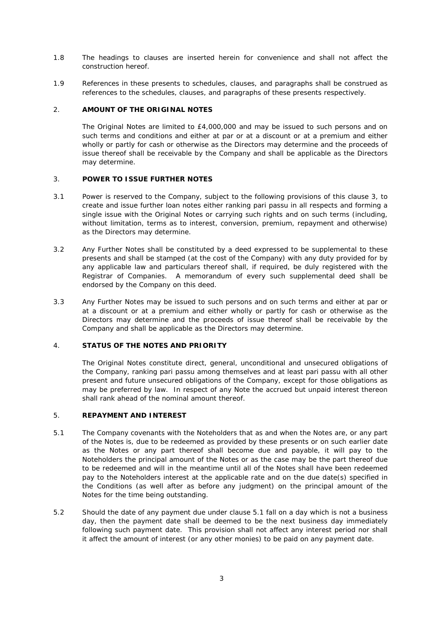- 1.8 The headings to clauses are inserted herein for convenience and shall not affect the construction hereof.
- 1.9 References in these presents to schedules, clauses, and paragraphs shall be construed as references to the schedules, clauses, and paragraphs of these presents respectively.

# 2. **AMOUNT OF THE ORIGINAL NOTES**

The Original Notes are limited to £4,000,000 and may be issued to such persons and on such terms and conditions and either at par or at a discount or at a premium and either wholly or partly for cash or otherwise as the Directors may determine and the proceeds of issue thereof shall be receivable by the Company and shall be applicable as the Directors may determine.

# <span id="page-4-0"></span>3. **POWER TO ISSUE FURTHER NOTES**

- 3.1 Power is reserved to the Company, subject to the following provisions of this clause [3,](#page-4-0) to create and issue further loan notes either ranking *pari passu* in all respects and forming a single issue with the Original Notes or carrying such rights and on such terms (including, without limitation, terms as to interest, conversion, premium, repayment and otherwise) as the Directors may determine.
- 3.2 Any Further Notes shall be constituted by a deed expressed to be supplemental to these presents and shall be stamped (at the cost of the Company) with any duty provided for by any applicable law and particulars thereof shall, if required, be duly registered with the Registrar of Companies. A memorandum of every such supplemental deed shall be endorsed by the Company on this deed.
- 3.3 Any Further Notes may be issued to such persons and on such terms and either at par or at a discount or at a premium and either wholly or partly for cash or otherwise as the Directors may determine and the proceeds of issue thereof shall be receivable by the Company and shall be applicable as the Directors may determine.

# 4. **STATUS OF THE NOTES AND PRIORITY**

The Original Notes constitute direct, general, unconditional and unsecured obligations of the Company, ranking *pari passu* among themselves and at least *pari passu* with all other present and future unsecured obligations of the Company, except for those obligations as may be preferred by law. In respect of any Note the accrued but unpaid interest thereon shall rank ahead of the nominal amount thereof.

# 5. **REPAYMENT AND INTEREST**

- <span id="page-4-1"></span>5.1 The Company covenants with the Noteholders that as and when the Notes are, or any part of the Notes is, due to be redeemed as provided by these presents or on such earlier date as the Notes or any part thereof shall become due and payable, it will pay to the Noteholders the principal amount of the Notes or as the case may be the part thereof due to be redeemed and will in the meantime until all of the Notes shall have been redeemed pay to the Noteholders interest at the applicable rate and on the due date(s) specified in the Conditions (as well after as before any judgment) on the principal amount of the Notes for the time being outstanding.
- 5.2 Should the date of any payment due under clause [5.1](#page-4-1) fall on a day which is not a business day, then the payment date shall be deemed to be the next business day immediately following such payment date. This provision shall not affect any interest period nor shall it affect the amount of interest (or any other monies) to be paid on any payment date.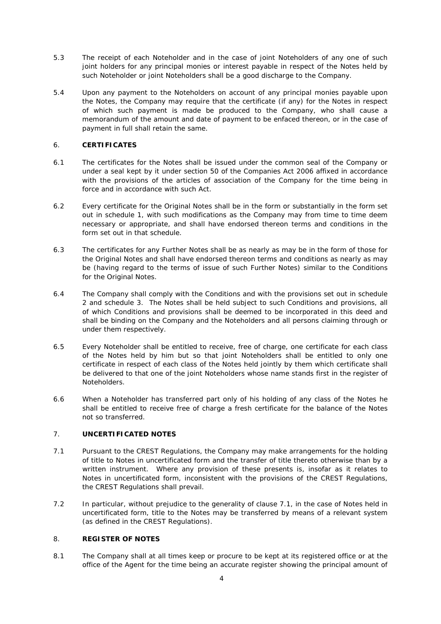- 5.3 The receipt of each Noteholder and in the case of joint Noteholders of any one of such joint holders for any principal monies or interest payable in respect of the Notes held by such Noteholder or joint Noteholders shall be a good discharge to the Company.
- 5.4 Upon any payment to the Noteholders on account of any principal monies payable upon the Notes, the Company may require that the certificate (if any) for the Notes in respect of which such payment is made be produced to the Company, who shall cause a memorandum of the amount and date of payment to be enfaced thereon, or in the case of payment in full shall retain the same.

# 6. **CERTIFICATES**

- 6.1 The certificates for the Notes shall be issued under the common seal of the Company or under a seal kept by it under section 50 of the Companies Act 2006 affixed in accordance with the provisions of the articles of association of the Company for the time being in force and in accordance with such Act.
- 6.2 Every certificate for the Original Notes shall be in the form or substantially in the form set out in schedule 1, with such modifications as the Company may from time to time deem necessary or appropriate, and shall have endorsed thereon terms and conditions in the form set out in that schedule.
- 6.3 The certificates for any Further Notes shall be as nearly as may be in the form of those for the Original Notes and shall have endorsed thereon terms and conditions as nearly as may be (having regard to the terms of issue of such Further Notes) similar to the Conditions for the Original Notes.
- 6.4 The Company shall comply with the Conditions and with the provisions set out in [schedule](#page-15-0)  [2](#page-15-0) and [schedule 3.](#page-17-0) The Notes shall be held subject to such Conditions and provisions, all of which Conditions and provisions shall be deemed to be incorporated in this deed and shall be binding on the Company and the Noteholders and all persons claiming through or under them respectively.
- 6.5 Every Noteholder shall be entitled to receive, free of charge, one certificate for each class of the Notes held by him but so that joint Noteholders shall be entitled to only one certificate in respect of each class of the Notes held jointly by them which certificate shall be delivered to that one of the joint Noteholders whose name stands first in the register of Noteholders.
- 6.6 When a Noteholder has transferred part only of his holding of any class of the Notes he shall be entitled to receive free of charge a fresh certificate for the balance of the Notes not so transferred.

# 7. **UNCERTIFICATED NOTES**

- <span id="page-5-1"></span>7.1 Pursuant to the CREST Regulations, the Company may make arrangements for the holding of title to Notes in uncertificated form and the transfer of title thereto otherwise than by a written instrument. Where any provision of these presents is, insofar as it relates to Notes in uncertificated form, inconsistent with the provisions of the CREST Regulations, the CREST Regulations shall prevail.
- 7.2 In particular, without prejudice to the generality of clause [7.1,](#page-5-1) in the case of Notes held in uncertificated form, title to the Notes may be transferred by means of a relevant system (as defined in the CREST Regulations).

# <span id="page-5-0"></span>8. **REGISTER OF NOTES**

8.1 The Company shall at all times keep or procure to be kept at its registered office or at the office of the Agent for the time being an accurate register showing the principal amount of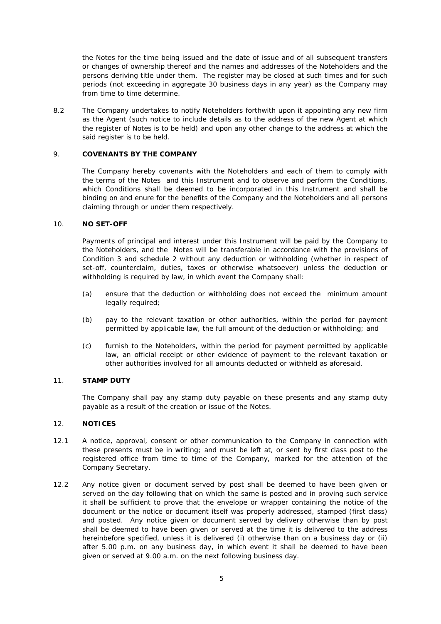the Notes for the time being issued and the date of issue and of all subsequent transfers or changes of ownership thereof and the names and addresses of the Noteholders and the persons deriving title under them. The register may be closed at such times and for such periods (not exceeding in aggregate 30 business days in any year) as the Company may from time to time determine.

<span id="page-6-0"></span>8.2 The Company undertakes to notify Noteholders forthwith upon it appointing any new firm as the Agent (such notice to include details as to the address of the new Agent at which the register of Notes is to be held) and upon any other change to the address at which the said register is to be held.

# 9. **COVENANTS BY THE COMPANY**

The Company hereby covenants with the Noteholders and each of them to comply with the terms of the Notes and this Instrument and to observe and perform the Conditions, which Conditions shall be deemed to be incorporated in this Instrument and shall be binding on and enure for the benefits of the Company and the Noteholders and all persons claiming through or under them respectively.

# 10. **NO SET-OFF**

Payments of principal and interest under this Instrument will be paid by the Company to the Noteholders, and the Notes will be transferable in accordance with the provisions of Condition [3](#page-15-1) and [schedule 2](#page-15-0) without any deduction or withholding (whether in respect of set-off, counterclaim, duties, taxes or otherwise whatsoever) unless the deduction or withholding is required by law, in which event the Company shall:

- (a) ensure that the deduction or withholding does not exceed the minimum amount legally required;
- (b) pay to the relevant taxation or other authorities, within the period for payment permitted by applicable law, the full amount of the deduction or withholding; and
- (c) furnish to the Noteholders, within the period for payment permitted by applicable law, an official receipt or other evidence of payment to the relevant taxation or other authorities involved for all amounts deducted or withheld as aforesaid.

# 11. **STAMP DUTY**

The Company shall pay any stamp duty payable on these presents and any stamp duty payable as a result of the creation or issue of the Notes.

# 12. **NOTICES**

- 12.1 A notice, approval, consent or other communication to the Company in connection with these presents must be in writing; and must be left at, or sent by first class post to the registered office from time to time of the Company, marked for the attention of the Company Secretary.
- 12.2 Any notice given or document served by post shall be deemed to have been given or served on the day following that on which the same is posted and in proving such service it shall be sufficient to prove that the envelope or wrapper containing the notice of the document or the notice or document itself was properly addressed, stamped (first class) and posted. Any notice given or document served by delivery otherwise than by post shall be deemed to have been given or served at the time it is delivered to the address hereinbefore specified, unless it is delivered (i) otherwise than on a business day or (ii) after 5.00 p.m. on any business day, in which event it shall be deemed to have been given or served at 9.00 a.m. on the next following business day.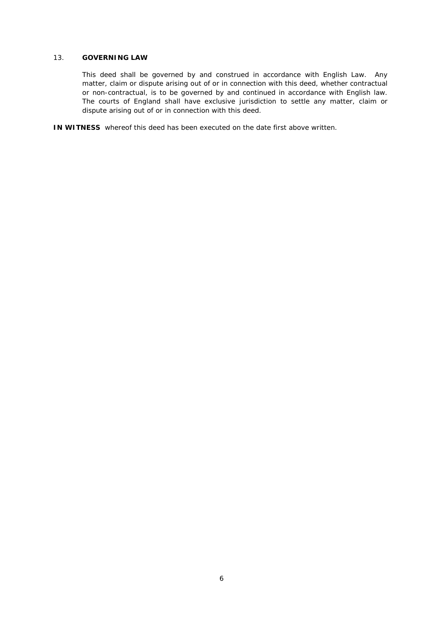# 13. **GOVERNING LAW**

This deed shall be governed by and construed in accordance with English Law. Any matter, claim or dispute arising out of or in connection with this deed, whether contractual or non-contractual, is to be governed by and continued in accordance with English law. The courts of England shall have exclusive jurisdiction to settle any matter, claim or dispute arising out of or in connection with this deed.

**IN WITNESS** whereof this deed has been executed on the date first above written.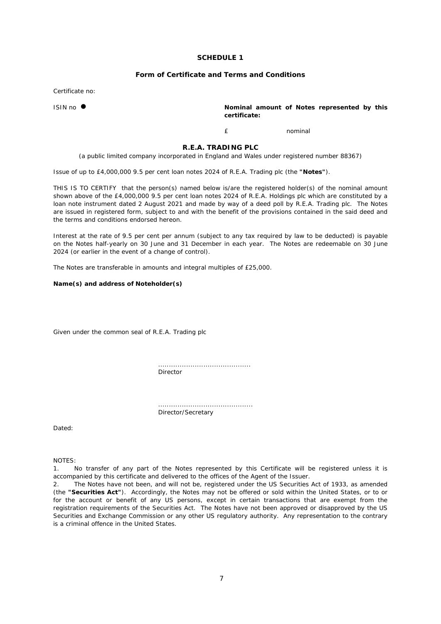#### **SCHEDULE 1**

#### **Form of Certificate and Terms and Conditions**

<span id="page-8-0"></span>Certificate no:

ISIN no  $\bullet$  **Nominal amount of Notes represented by this certificate:**

£ nominal

**R.E.A. TRADING PLC**

(a public limited company incorporated in England and Wales under registered number 88367)

Issue of up to £4,000,000 9.5 per cent loan notes 2024 of R.E.A. Trading plc (the **"Notes"**).

THIS IS TO CERTIFY that the person(s) named below is/are the registered holder(s) of the nominal amount shown above of the £4,000,000 9.5 per cent loan notes 2024 of R.E.A. Holdings plc which are constituted by a loan note instrument dated 2 August 2021 and made by way of a deed poll by R.E.A. Trading plc. The Notes are issued in registered form, subject to and with the benefit of the provisions contained in the said deed and the terms and conditions endorsed hereon.

Interest at the rate of 9.5 per cent per annum (subject to any tax required by law to be deducted) is payable on the Notes half-yearly on 30 June and 31 December in each year. The Notes are redeemable on 30 June 2024 (or earlier in the event of a change of control).

The Notes are transferable in amounts and integral multiples of £25,000.

#### **Name(s) and address of Noteholder(s)**

Given under the common seal of R.E.A. Trading plc

........................................... Director

............................................ Director/Secretary

Dated:

NOTES:

1. No transfer of any part of the Notes represented by this Certificate will be registered unless it is accompanied by this certificate and delivered to the offices of the Agent of the Issuer.

2. The Notes have not been, and will not be, registered under the US Securities Act of 1933, as amended (the **"Securities Act"**). Accordingly, the Notes may not be offered or sold within the United States, or to or for the account or benefit of any US persons, except in certain transactions that are exempt from the registration requirements of the Securities Act. The Notes have not been approved or disapproved by the US Securities and Exchange Commission or any other US regulatory authority. Any representation to the contrary is a criminal offence in the United States.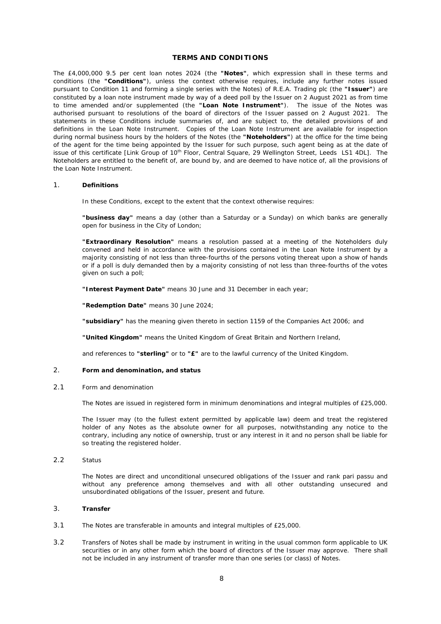#### **TERMS AND CONDITIONS**

The £4,000,000 9.5 per cent loan notes 2024 (the **"Notes"**, which expression shall in these terms and conditions (the **"Conditions"**), unless the context otherwise requires, include any further notes issued pursuant to Condition 11 and forming a single series with the Notes) of R.E.A. Trading plc (the **"Issuer"**) are constituted by a loan note instrument made by way of a deed poll by the Issuer on 2 August 2021 as from time to time amended and/or supplemented (the **"Loan Note Instrument"**). The issue of the Notes was authorised pursuant to resolutions of the board of directors of the Issuer passed on 2 August 2021. The statements in these Conditions include summaries of, and are subject to, the detailed provisions of and definitions in the Loan Note Instrument. Copies of the Loan Note Instrument are available for inspection during normal business hours by the holders of the Notes (the **"Noteholders"**) at the office for the time being of the agent for the time being appointed by the Issuer for such purpose, such agent being as at the date of issue of this certificate [*Link Group of 10th Floor, Central Square, 29 Wellington Street, Leeds LS1 4DL*]. The Noteholders are entitled to the benefit of, are bound by, and are deemed to have notice of, all the provisions of the Loan Note Instrument.

#### 1. **Definitions**

In these Conditions, except to the extent that the context otherwise requires:

**"business day"** means a day (other than a Saturday or a Sunday) on which banks are generally open for business in the City of London;

**"Extraordinary Resolution"** means a resolution passed at a meeting of the Noteholders duly convened and held in accordance with the provisions contained in the Loan Note Instrument by a majority consisting of not less than three-fourths of the persons voting thereat upon a show of hands or if a poll is duly demanded then by a majority consisting of not less than three-fourths of the votes given on such a poll;

**"Interest Payment Date"** means 30 June and 31 December in each year;

**"Redemption Date"** means 30 June 2024;

**"subsidiary"** has the meaning given thereto in section 1159 of the Companies Act 2006; and

**"United Kingdom"** means the United Kingdom of Great Britain and Northern Ireland,

and references to **"sterling"** or to **"£"** are to the lawful currency of the United Kingdom.

#### 2. **Form and denomination, and status**

#### 2.1 *Form and denomination*

The Notes are issued in registered form in minimum denominations and integral multiples of £25,000.

The Issuer may (to the fullest extent permitted by applicable law) deem and treat the registered holder of any Notes as the absolute owner for all purposes, notwithstanding any notice to the contrary, including any notice of ownership, trust or any interest in it and no person shall be liable for so treating the registered holder.

2.2 *Status*

The Notes are direct and unconditional unsecured obligations of the Issuer and rank *pari passu* and without any preference among themselves and with all other outstanding unsecured and unsubordinated obligations of the Issuer, present and future.

#### 3. **Transfer**

- 3.1 The Notes are transferable in amounts and integral multiples of £25,000.
- 3.2 Transfers of Notes shall be made by instrument in writing in the usual common form applicable to UK securities or in any other form which the board of directors of the Issuer may approve. There shall not be included in any instrument of transfer more than one series (or class) of Notes.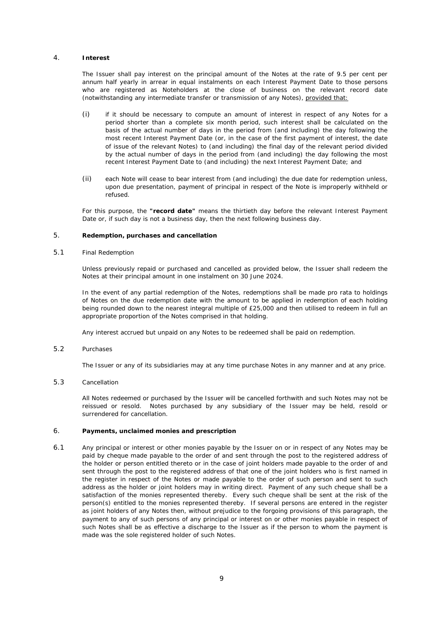#### 4. **Interest**

The Issuer shall pay interest on the principal amount of the Notes at the rate of 9.5 per cent per annum half yearly in arrear in equal instalments on each Interest Payment Date to those persons who are registered as Noteholders at the close of business on the relevant record date (notwithstanding any intermediate transfer or transmission of any Notes), provided that:

- (i) if it should be necessary to compute an amount of interest in respect of any Notes for a period shorter than a complete six month period, such interest shall be calculated on the basis of the actual number of days in the period from (and including) the day following the most recent Interest Payment Date (or, in the case of the first payment of interest, the date of issue of the relevant Notes) to (and including) the final day of the relevant period divided by the actual number of days in the period from (and including) the day following the most recent Interest Payment Date to (and including) the next Interest Payment Date; and
- (ii) each Note will cease to bear interest from (and including) the due date for redemption unless, upon due presentation, payment of principal in respect of the Note is improperly withheld or refused.

For this purpose, the **"record date"** means the thirtieth day before the relevant Interest Payment Date or, if such day is not a business day, then the next following business day.

#### 5. **Redemption, purchases and cancellation**

#### 5.1 *Final Redemption*

Unless previously repaid or purchased and cancelled as provided below, the Issuer shall redeem the Notes at their principal amount in one instalment on 30 June 2024.

In the event of any partial redemption of the Notes, redemptions shall be made *pro rata* to holdings of Notes on the due redemption date with the amount to be applied in redemption of each holding being rounded down to the nearest integral multiple of £25,000 and then utilised to redeem in full an appropriate proportion of the Notes comprised in that holding.

Any interest accrued but unpaid on any Notes to be redeemed shall be paid on redemption.

#### 5.2 *Purchases*

The Issuer or any of its subsidiaries may at any time purchase Notes in any manner and at any price.

#### 5.3 *Cancellation*

All Notes redeemed or purchased by the Issuer will be cancelled forthwith and such Notes may not be reissued or resold. Notes purchased by any subsidiary of the Issuer may be held, resold or surrendered for cancellation.

#### 6. **Payments, unclaimed monies and prescription**

6.1 Any principal or interest or other monies payable by the Issuer on or in respect of any Notes may be paid by cheque made payable to the order of and sent through the post to the registered address of the holder or person entitled thereto or in the case of joint holders made payable to the order of and sent through the post to the registered address of that one of the joint holders who is first named in the register in respect of the Notes or made payable to the order of such person and sent to such address as the holder or joint holders may in writing direct. Payment of any such cheque shall be a satisfaction of the monies represented thereby. Every such cheque shall be sent at the risk of the person(s) entitled to the monies represented thereby. If several persons are entered in the register as joint holders of any Notes then, without prejudice to the forgoing provisions of this paragraph, the payment to any of such persons of any principal or interest on or other monies payable in respect of such Notes shall be as effective a discharge to the Issuer as if the person to whom the payment is made was the sole registered holder of such Notes.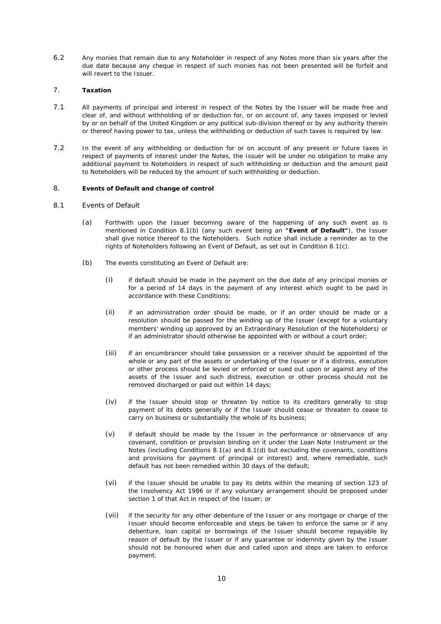6.2 Any monies that remain due to any Noteholder in respect of any Notes more than six years after the due date because any cheque in respect of such monies has not been presented will be forfeit and will revert to the Issuer.

#### 7. **Taxation**

- 7.1 All payments of principal and interest in respect of the Notes by the Issuer will be made free and clear of, and without withholding of or deduction for, or on account of, any taxes imposed or levied by or on behalf of the United Kingdom or any political sub-division thereof or by any authority therein or thereof having power to tax, unless the withholding or deduction of such taxes is required by law.
- 7.2 In the event of any withholding or deduction for or on account of any present or future taxes in respect of payments of interest under the Notes, the Issuer will be under no obligation to make any additional payment to Noteholders in respect of such withholding or deduction and the amount paid to Noteholders will be reduced by the amount of such withholding or deduction.

#### <span id="page-11-0"></span>8. **Events of Default and change of control**

#### <span id="page-11-2"></span>8.1 *Events of Default*

- (a) Forthwith upon the Issuer becoming aware of the happening of any such event as is mentioned in Condition [8.1\(b\)](#page-11-1) (any such event being an **"Event of Default"**), the Issuer shall give notice thereof to the Noteholders. Such notice shall include a reminder as to the rights of Noteholders following an Event of Default, as set out in Condition [8.1\(c\).](#page-12-0)
- <span id="page-11-1"></span>(b) The events constituting an Event of Default are:
	- (i) if default should be made in the payment on the due date of any principal monies or for a period of 14 days in the payment of any interest which ought to be paid in accordance with these Conditions;
	- (ii) if an administration order should be made, or if an order should be made or a resolution should be passed for the winding up of the Issuer (except for a voluntary members' winding up approved by an Extraordinary Resolution of the Noteholders) or if an administrator should otherwise be appointed with or without a court order;
	- (iii) if an encumbrancer should take possession or a receiver should be appointed of the whole or any part of the assets or undertaking of the Issuer or if a distress, execution or other process should be levied or enforced or sued out upon or against any of the assets of the Issuer and such distress, execution or other process should not be removed discharged or paid out within 14 days;
	- (iv) if the Issuer should stop or threaten by notice to its creditors generally to stop payment of its debts generally or if the Issuer should cease or threaten to cease to carry on business or substantially the whole of its business;
	- (v) if default should be made by the Issuer in the performance or observance of any covenant, condition or provision binding on it under the Loan Note Instrument or the Notes (including Conditions [8.1\(a\)](#page-11-2) and [8.1\(d\)](#page-12-1) but excluding the covenants, conditions and provisions for payment of principal or interest) and, where remediable, such default has not been remedied within 30 days of the default;
	- (vi) if the Issuer should be unable to pay its debts within the meaning of section 123 of the Insolvency Act 1986 or if any voluntary arrangement should be proposed under section 1 of that Act in respect of the Issuer; or
	- (vii) if the security for any other debenture of the Issuer or any mortgage or charge of the Issuer should become enforceable and steps be taken to enforce the same or if any debenture, loan capital or borrowings of the Issuer should become repayable by reason of default by the Issuer or if any guarantee or indemnity given by the Issuer should not be honoured when due and called upon and steps are taken to enforce payment.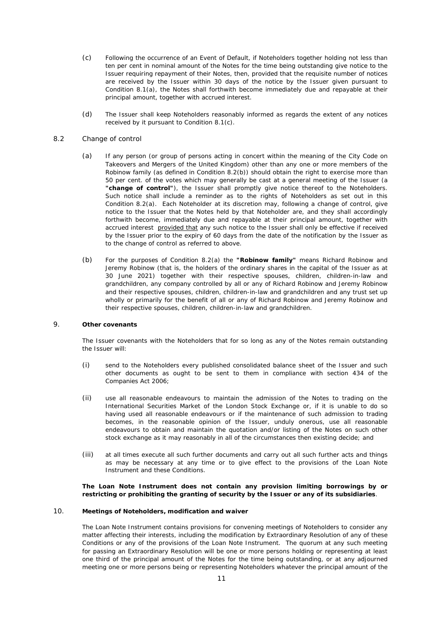- <span id="page-12-0"></span>(c) Following the occurrence of an Event of Default, if Noteholders together holding not less than ten per cent in nominal amount of the Notes for the time being outstanding give notice to the Issuer requiring repayment of their Notes, then, provided that the requisite number of notices are received by the Issuer within 30 days of the notice by the Issuer given pursuant to Condition [8.1\(a\),](#page-11-2) the Notes shall forthwith become immediately due and repayable at their principal amount, together with accrued interest.
- (d) The Issuer shall keep Noteholders reasonably informed as regards the extent of any notices received by it pursuant to Condition [8.1\(c\).](#page-12-0)

#### <span id="page-12-3"></span><span id="page-12-1"></span>8.2 *Change of control*

- (a) If any person (or group of persons acting in concert within the meaning of the City Code on Takeovers and Mergers of the United Kingdom) other than any one or more members of the Robinow family (as defined in Condition [8.2\(b\)\)](#page-12-2) should obtain the right to exercise more than 50 per cent. of the votes which may generally be cast at a general meeting of the Issuer (a **"change of control"**), the Issuer shall promptly give notice thereof to the Noteholders. Such notice shall include a reminder as to the rights of Noteholders as set out in this Condition [8.2\(a\).](#page-12-3) Each Noteholder at its discretion may, following a change of control, give notice to the Issuer that the Notes held by that Noteholder are, and they shall accordingly forthwith become, immediately due and repayable at their principal amount, together with accrued interest provided that any such notice to the Issuer shall only be effective if received by the Issuer prior to the expiry of 60 days from the date of the notification by the Issuer as to the change of control as referred to above.
- <span id="page-12-2"></span>(b) For the purposes of Condition [8.2\(a\)](#page-12-3) the **"Robinow family"** means Richard Robinow and Jeremy Robinow (that is, the holders of the ordinary shares in the capital of the Issuer as at 30 June 2021) together with their respective spouses, children, children-in-law and grandchildren, any company controlled by all or any of Richard Robinow and Jeremy Robinow and their respective spouses, children, children-in-law and grandchildren and any trust set up wholly or primarily for the benefit of all or any of Richard Robinow and Jeremy Robinow and their respective spouses, children, children-in-law and grandchildren.

#### 9. **Other covenants**

The Issuer covenants with the Noteholders that for so long as any of the Notes remain outstanding the Issuer will:

- (i) send to the Noteholders every published consolidated balance sheet of the Issuer and such other documents as ought to be sent to them in compliance with section 434 of the Companies Act 2006;
- (ii) use all reasonable endeavours to maintain the admission of the Notes to trading on the International Securities Market of the London Stock Exchange or, if it is unable to do so having used all reasonable endeavours or if the maintenance of such admission to trading becomes, in the reasonable opinion of the Issuer, unduly onerous, use all reasonable endeavours to obtain and maintain the quotation and/or listing of the Notes on such other stock exchange as it may reasonably in all of the circumstances then existing decide; and
- (iii) at all times execute all such further documents and carry out all such further acts and things as may be necessary at any time or to give effect to the provisions of the Loan Note Instrument and these Conditions.

#### **The Loan Note Instrument does not contain any provision limiting borrowings by or restricting or prohibiting the granting of security by the Issuer or any of its subsidiaries**.

#### 10. **Meetings of Noteholders, modification and waiver**

The Loan Note Instrument contains provisions for convening meetings of Noteholders to consider any matter affecting their interests, including the modification by Extraordinary Resolution of any of these Conditions or any of the provisions of the Loan Note Instrument. The quorum at any such meeting for passing an Extraordinary Resolution will be one or more persons holding or representing at least one third of the principal amount of the Notes for the time being outstanding, or at any adjourned meeting one or more persons being or representing Noteholders whatever the principal amount of the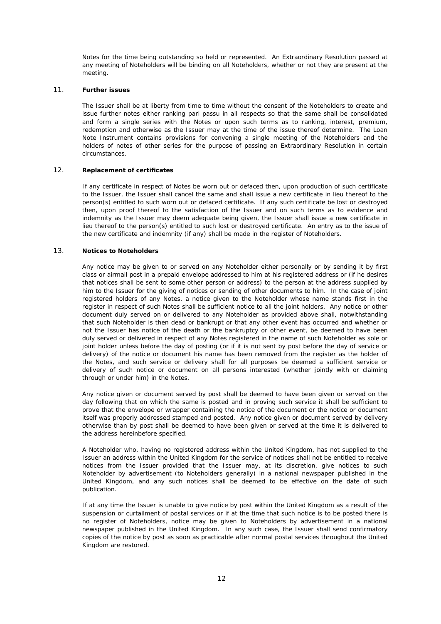Notes for the time being outstanding so held or represented. An Extraordinary Resolution passed at any meeting of Noteholders will be binding on all Noteholders, whether or not they are present at the meeting.

#### 11. **Further issues**

The Issuer shall be at liberty from time to time without the consent of the Noteholders to create and issue further notes either ranking *pari passu* in all respects so that the same shall be consolidated and form a single series with the Notes or upon such terms as to ranking, interest, premium, redemption and otherwise as the Issuer may at the time of the issue thereof determine. The Loan Note Instrument contains provisions for convening a single meeting of the Noteholders and the holders of notes of other series for the purpose of passing an Extraordinary Resolution in certain circumstances.

#### 12. **Replacement of certificates**

If any certificate in respect of Notes be worn out or defaced then, upon production of such certificate to the Issuer, the Issuer shall cancel the same and shall issue a new certificate in lieu thereof to the person(s) entitled to such worn out or defaced certificate. If any such certificate be lost or destroyed then, upon proof thereof to the satisfaction of the Issuer and on such terms as to evidence and indemnity as the Issuer may deem adequate being given, the Issuer shall issue a new certificate in lieu thereof to the person(s) entitled to such lost or destroyed certificate. An entry as to the issue of the new certificate and indemnity (if any) shall be made in the register of Noteholders.

#### 13. **Notices to Noteholders**

Any notice may be given to or served on any Noteholder either personally or by sending it by first class or airmail post in a prepaid envelope addressed to him at his registered address or (if he desires that notices shall be sent to some other person or address) to the person at the address supplied by him to the Issuer for the giving of notices or sending of other documents to him. In the case of joint registered holders of any Notes, a notice given to the Noteholder whose name stands first in the register in respect of such Notes shall be sufficient notice to all the joint holders. Any notice or other document duly served on or delivered to any Noteholder as provided above shall, notwithstanding that such Noteholder is then dead or bankrupt or that any other event has occurred and whether or not the Issuer has notice of the death or the bankruptcy or other event, be deemed to have been duly served or delivered in respect of any Notes registered in the name of such Noteholder as sole or joint holder unless before the day of posting (or if it is not sent by post before the day of service or delivery) of the notice or document his name has been removed from the register as the holder of the Notes, and such service or delivery shall for all purposes be deemed a sufficient service or delivery of such notice or document on all persons interested (whether jointly with or claiming through or under him) in the Notes.

Any notice given or document served by post shall be deemed to have been given or served on the day following that on which the same is posted and in proving such service it shall be sufficient to prove that the envelope or wrapper containing the notice of the document or the notice or document itself was properly addressed stamped and posted. Any notice given or document served by delivery otherwise than by post shall be deemed to have been given or served at the time it is delivered to the address hereinbefore specified.

A Noteholder who, having no registered address within the United Kingdom, has not supplied to the Issuer an address within the United Kingdom for the service of notices shall not be entitled to receive notices from the Issuer provided that the Issuer may, at its discretion, give notices to such Noteholder by advertisement (to Noteholders generally) in a national newspaper published in the United Kingdom, and any such notices shall be deemed to be effective on the date of such publication.

If at any time the Issuer is unable to give notice by post within the United Kingdom as a result of the suspension or curtailment of postal services or if at the time that such notice is to be posted there is no register of Noteholders, notice may be given to Noteholders by advertisement in a national newspaper published in the United Kingdom. In any such case, the Issuer shall send confirmatory copies of the notice by post as soon as practicable after normal postal services throughout the United Kingdom are restored.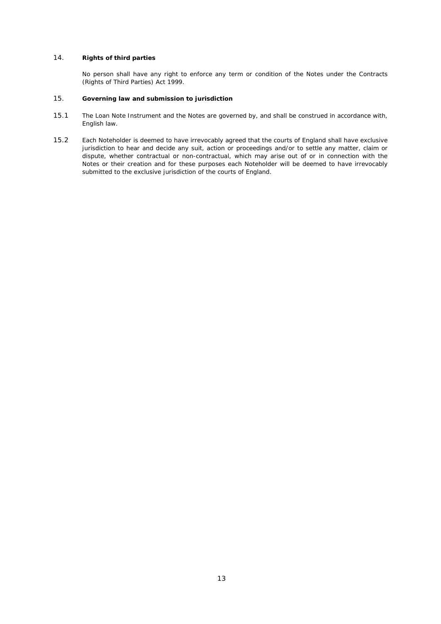#### 14. **Rights of third parties**

No person shall have any right to enforce any term or condition of the Notes under the Contracts (Rights of Third Parties) Act 1999.

#### 15. **Governing law and submission to jurisdiction**

- 15.1 The Loan Note Instrument and the Notes are governed by, and shall be construed in accordance with, English law.
- 15.2 Each Noteholder is deemed to have irrevocably agreed that the courts of England shall have exclusive jurisdiction to hear and decide any suit, action or proceedings and/or to settle any matter, claim or dispute, whether contractual or non-contractual, which may arise out of or in connection with the Notes or their creation and for these purposes each Noteholder will be deemed to have irrevocably submitted to the exclusive jurisdiction of the courts of England.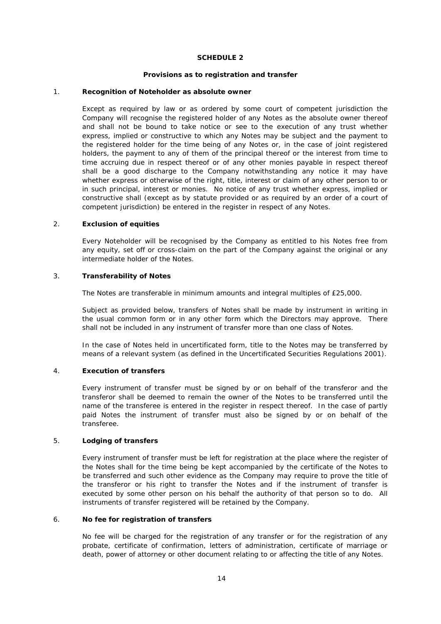# **SCHEDULE 2**

#### **Provisions as to registration and transfer**

# <span id="page-15-0"></span>1. **Recognition of Noteholder as absolute owner**

Except as required by law or as ordered by some court of competent jurisdiction the Company will recognise the registered holder of any Notes as the absolute owner thereof and shall not be bound to take notice or see to the execution of any trust whether express, implied or constructive to which any Notes may be subject and the payment to the registered holder for the time being of any Notes or, in the case of joint registered holders, the payment to any of them of the principal thereof or the interest from time to time accruing due in respect thereof or of any other monies payable in respect thereof shall be a good discharge to the Company notwithstanding any notice it may have whether express or otherwise of the right, title, interest or claim of any other person to or in such principal, interest or monies. No notice of any trust whether express, implied or constructive shall (except as by statute provided or as required by an order of a court of competent jurisdiction) be entered in the register in respect of any Notes.

# 2. **Exclusion of equities**

Every Noteholder will be recognised by the Company as entitled to his Notes free from any equity, set off or cross-claim on the part of the Company against the original or any intermediate holder of the Notes.

#### <span id="page-15-1"></span>3. **Transferability of Notes**

The Notes are transferable in minimum amounts and integral multiples of £25,000.

Subject as provided below, transfers of Notes shall be made by instrument in writing in the usual common form or in any other form which the Directors may approve. There shall not be included in any instrument of transfer more than one class of Notes.

In the case of Notes held in uncertificated form, title to the Notes may be transferred by means of a relevant system (as defined in the Uncertificated Securities Regulations 2001).

# 4. **Execution of transfers**

Every instrument of transfer must be signed by or on behalf of the transferor and the transferor shall be deemed to remain the owner of the Notes to be transferred until the name of the transferee is entered in the register in respect thereof. In the case of partly paid Notes the instrument of transfer must also be signed by or on behalf of the transferee.

# 5. **Lodging of transfers**

Every instrument of transfer must be left for registration at the place where the register of the Notes shall for the time being be kept accompanied by the certificate of the Notes to be transferred and such other evidence as the Company may require to prove the title of the transferor or his right to transfer the Notes and if the instrument of transfer is executed by some other person on his behalf the authority of that person so to do. All instruments of transfer registered will be retained by the Company.

#### 6. **No fee for registration of transfers**

No fee will be charged for the registration of any transfer or for the registration of any probate, certificate of confirmation, letters of administration, certificate of marriage or death, power of attorney or other document relating to or affecting the title of any Notes.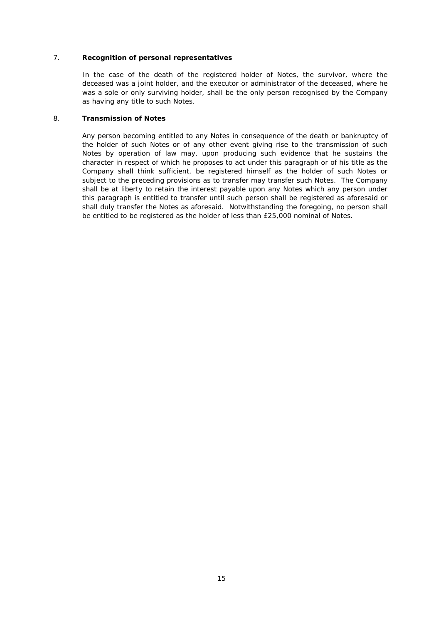# 7. **Recognition of personal representatives**

In the case of the death of the registered holder of Notes, the survivor, where the deceased was a joint holder, and the executor or administrator of the deceased, where he was a sole or only surviving holder, shall be the only person recognised by the Company as having any title to such Notes.

#### 8. **Transmission of Notes**

Any person becoming entitled to any Notes in consequence of the death or bankruptcy of the holder of such Notes or of any other event giving rise to the transmission of such Notes by operation of law may, upon producing such evidence that he sustains the character in respect of which he proposes to act under this paragraph or of his title as the Company shall think sufficient, be registered himself as the holder of such Notes or subject to the preceding provisions as to transfer may transfer such Notes. The Company shall be at liberty to retain the interest payable upon any Notes which any person under this paragraph is entitled to transfer until such person shall be registered as aforesaid or shall duly transfer the Notes as aforesaid. Notwithstanding the foregoing, no person shall be entitled to be registered as the holder of less than £25,000 nominal of Notes.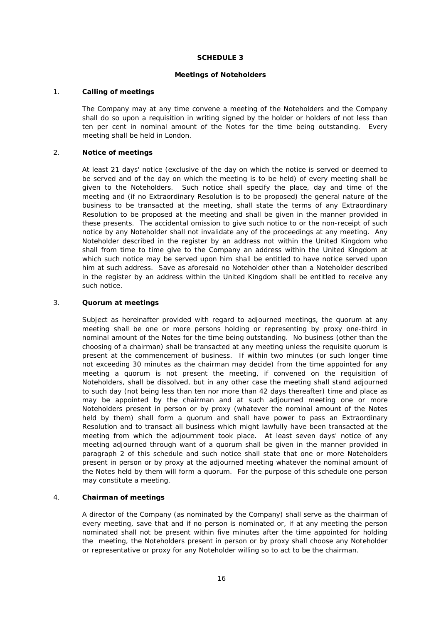# **SCHEDULE 3**

#### **Meetings of Noteholders**

#### <span id="page-17-0"></span>1. **Calling of meetings**

The Company may at any time convene a meeting of the Noteholders and the Company shall do so upon a requisition in writing signed by the holder or holders of not less than ten per cent in nominal amount of the Notes for the time being outstanding. Every meeting shall be held in London.

# 2. **Notice of meetings**

At least 21 days' notice (exclusive of the day on which the notice is served or deemed to be served and of the day on which the meeting is to be held) of every meeting shall be given to the Noteholders. Such notice shall specify the place, day and time of the meeting and (if no Extraordinary Resolution is to be proposed) the general nature of the business to be transacted at the meeting, shall state the terms of any Extraordinary Resolution to be proposed at the meeting and shall be given in the manner provided in these presents. The accidental omission to give such notice to or the non-receipt of such notice by any Noteholder shall not invalidate any of the proceedings at any meeting. Any Noteholder described in the register by an address not within the United Kingdom who shall from time to time give to the Company an address within the United Kingdom at which such notice may be served upon him shall be entitled to have notice served upon him at such address. Save as aforesaid no Noteholder other than a Noteholder described in the register by an address within the United Kingdom shall be entitled to receive any such notice.

# 3. **Quorum at meetings**

Subject as hereinafter provided with regard to adjourned meetings, the quorum at any meeting shall be one or more persons holding or representing by proxy one-third in nominal amount of the Notes for the time being outstanding. No business (other than the choosing of a chairman) shall be transacted at any meeting unless the requisite quorum is present at the commencement of business. If within two minutes (or such longer time not exceeding 30 minutes as the chairman may decide) from the time appointed for any meeting a quorum is not present the meeting, if convened on the requisition of Noteholders, shall be dissolved, but in any other case the meeting shall stand adjourned to such day (not being less than ten nor more than 42 days thereafter) time and place as may be appointed by the chairman and at such adjourned meeting one or more Noteholders present in person or by proxy (whatever the nominal amount of the Notes held by them) shall form a quorum and shall have power to pass an Extraordinary Resolution and to transact all business which might lawfully have been transacted at the meeting from which the adjournment took place. At least seven days' notice of any meeting adjourned through want of a quorum shall be given in the manner provided in paragraph 2 of this schedule and such notice shall state that one or more Noteholders present in person or by proxy at the adjourned meeting whatever the nominal amount of the Notes held by them will form a quorum. For the purpose of this schedule one person may constitute a meeting.

#### 4. **Chairman of meetings**

A director of the Company (as nominated by the Company) shall serve as the chairman of every meeting, save that and if no person is nominated or, if at any meeting the person nominated shall not be present within five minutes after the time appointed for holding the meeting, the Noteholders present in person or by proxy shall choose any Noteholder or representative or proxy for any Noteholder willing so to act to be the chairman.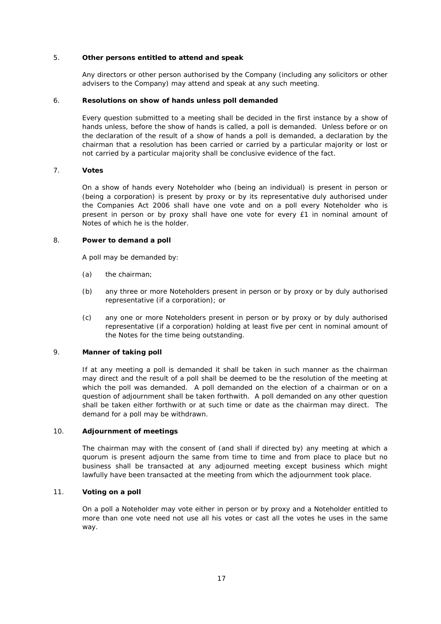# 5. **Other persons entitled to attend and speak**

Any directors or other person authorised by the Company (including any solicitors or other advisers to the Company) may attend and speak at any such meeting.

#### 6. **Resolutions on show of hands unless poll demanded**

Every question submitted to a meeting shall be decided in the first instance by a show of hands unless, before the show of hands is called, a poll is demanded. Unless before or on the declaration of the result of a show of hands a poll is demanded, a declaration by the chairman that a resolution has been carried or carried by a particular majority or lost or not carried by a particular majority shall be conclusive evidence of the fact.

# 7. **Votes**

On a show of hands every Noteholder who (being an individual) is present in person or (being a corporation) is present by proxy or by its representative duly authorised under the Companies Act 2006 shall have one vote and on a poll every Noteholder who is present in person or by proxy shall have one vote for every £1 in nominal amount of Notes of which he is the holder.

#### 8. **Power to demand a poll**

A poll may be demanded by:

- (a) the chairman;
- (b) any three or more Noteholders present in person or by proxy or by duly authorised representative (if a corporation); or
- (c) any one or more Noteholders present in person or by proxy or by duly authorised representative (if a corporation) holding at least five per cent in nominal amount of the Notes for the time being outstanding.

#### 9. **Manner of taking poll**

If at any meeting a poll is demanded it shall be taken in such manner as the chairman may direct and the result of a poll shall be deemed to be the resolution of the meeting at which the poll was demanded. A poll demanded on the election of a chairman or on a question of adjournment shall be taken forthwith. A poll demanded on any other question shall be taken either forthwith or at such time or date as the chairman may direct. The demand for a poll may be withdrawn.

#### 10. **Adjournment of meetings**

The chairman may with the consent of (and shall if directed by) any meeting at which a quorum is present adjourn the same from time to time and from place to place but no business shall be transacted at any adjourned meeting except business which might lawfully have been transacted at the meeting from which the adjournment took place.

# 11. **Voting on a poll**

On a poll a Noteholder may vote either in person or by proxy and a Noteholder entitled to more than one vote need not use all his votes or cast all the votes he uses in the same way.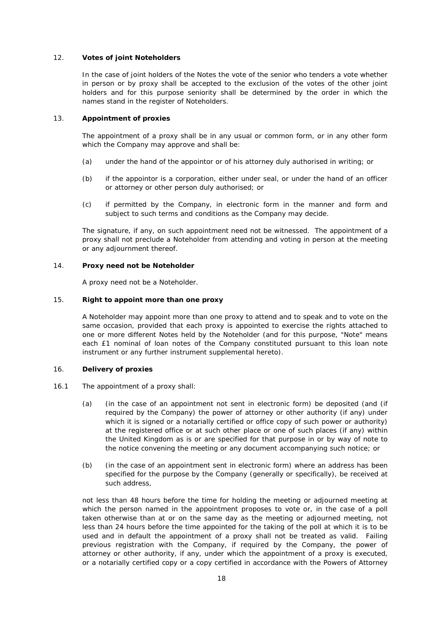# 12. **Votes of joint Noteholders**

In the case of joint holders of the Notes the vote of the senior who tenders a vote whether in person or by proxy shall be accepted to the exclusion of the votes of the other joint holders and for this purpose seniority shall be determined by the order in which the names stand in the register of Noteholders.

#### 13. **Appointment of proxies**

The appointment of a proxy shall be in any usual or common form, or in any other form which the Company may approve and shall be:

- (a) under the hand of the appointor or of his attorney duly authorised in writing; or
- (b) if the appointor is a corporation, either under seal, or under the hand of an officer or attorney or other person duly authorised; or
- (c) if permitted by the Company, in electronic form in the manner and form and subject to such terms and conditions as the Company may decide.

The signature, if any, on such appointment need not be witnessed. The appointment of a proxy shall not preclude a Noteholder from attending and voting in person at the meeting or any adjournment thereof.

#### 14. **Proxy need not be Noteholder**

A proxy need not be a Noteholder.

# 15. **Right to appoint more than one proxy**

A Noteholder may appoint more than one proxy to attend and to speak and to vote on the same occasion, provided that each proxy is appointed to exercise the rights attached to one or more different Notes held by the Noteholder (and for this purpose, "Note" means each £1 nominal of loan notes of the Company constituted pursuant to this loan note instrument or any further instrument supplemental hereto).

# 16. **Delivery of proxies**

- <span id="page-19-0"></span>16.1 The appointment of a proxy shall:
	- (a) (in the case of an appointment not sent in electronic form) be deposited (and (if required by the Company) the power of attorney or other authority (if any) under which it is signed or a notarially certified or office copy of such power or authority) at the registered office or at such other place or one of such places (if any) within the United Kingdom as is or are specified for that purpose in or by way of note to the notice convening the meeting or any document accompanying such notice; or
	- (b) (in the case of an appointment sent in electronic form) where an address has been specified for the purpose by the Company (generally or specifically), be received at such address,

not less than 48 hours before the time for holding the meeting or adjourned meeting at which the person named in the appointment proposes to vote or, in the case of a poll taken otherwise than at or on the same day as the meeting or adjourned meeting, not less than 24 hours before the time appointed for the taking of the poll at which it is to be used and in default the appointment of a proxy shall not be treated as valid. Failing previous registration with the Company, if required by the Company, the power of attorney or other authority, if any, under which the appointment of a proxy is executed, or a notarially certified copy or a copy certified in accordance with the Powers of Attorney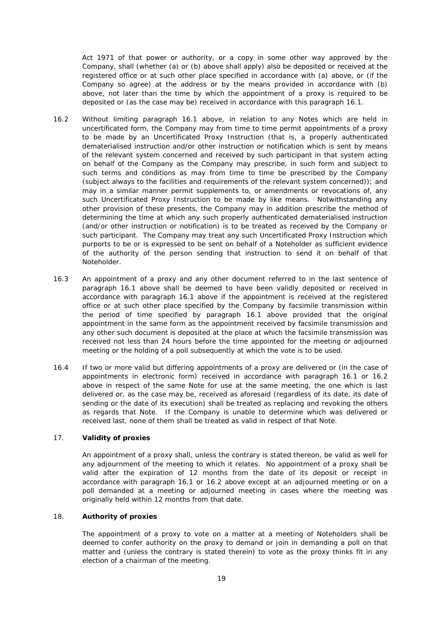Act 1971 of that power or authority, or a copy in some other way approved by the Company, shall (whether (a) or (b) above shall apply) also be deposited or received at the registered office or at such other place specified in accordance with (a) above, or (if the Company so agree) at the address or by the means provided in accordance with (b) above, not later than the time by which the appointment of a proxy is required to be deposited or (as the case may be) received in accordance with this paragraph [16.1.](#page-19-0)

- <span id="page-20-0"></span>16.2 Without limiting paragraph [16.1](#page-19-0) above, in relation to any Notes which are held in uncertificated form, the Company may from time to time permit appointments of a proxy to be made by an Uncertificated Proxy Instruction (that is, a properly authenticated dematerialised instruction and/or other instruction or notification which is sent by means of the relevant system concerned and received by such participant in that system acting on behalf of the Company as the Company may prescribe, in such form and subject to such terms and conditions as may from time to time be prescribed by the Company (subject always to the facilities and requirements of the relevant system concerned)); and may in a similar manner permit supplements to, or amendments or revocations of, any such Uncertificated Proxy Instruction to be made by like means. Notwithstanding any other provision of these presents, the Company may in addition prescribe the method of determining the time at which any such properly authenticated dematerialised instruction (and/or other instruction or notification) is to be treated as received by the Company or such participant. The Company may treat any such Uncertificated Proxy Instruction which purports to be or is expressed to be sent on behalf of a Noteholder as sufficient evidence of the authority of the person sending that instruction to send it on behalf of that Noteholder.
- 16.3 An appointment of a proxy and any other document referred to in the last sentence of paragraph [16.1](#page-19-0) above shall be deemed to have been validly deposited or received in accordance with paragraph [16.1](#page-19-0) above if the appointment is received at the registered office or at such other place specified by the Company by facsimile transmission within the period of time specified by paragraph [16.1](#page-19-0) above provided that the original appointment in the same form as the appointment received by facsimile transmission and any other such document is deposited at the place at which the facsimile transmission was received not less than 24 hours before the time appointed for the meeting or adjourned meeting or the holding of a poll subsequently at which the vote is to be used.
- 16.4 If two or more valid but differing appointments of a proxy are delivered or (in the case of appointments in electronic form) received in accordance with paragraph [16.1](#page-19-0) or [16.2](#page-20-0) above in respect of the same Note for use at the same meeting, the one which is last delivered or, as the case may be, received as aforesaid (regardless of its date, its date of sending or the date of its execution) shall be treated as replacing and revoking the others as regards that Note. If the Company is unable to determine which was delivered or received last, none of them shall be treated as valid in respect of that Note.

# 17. **Validity of proxies**

An appointment of a proxy shall, unless the contrary is stated thereon, be valid as well for any adjournment of the meeting to which it relates. No appointment of a proxy shall be valid after the expiration of 12 months from the date of its deposit or receipt in accordance with paragraph [16.1](#page-19-0) or [16.2](#page-20-0) above except at an adjourned meeting or on a poll demanded at a meeting or adjourned meeting in cases where the meeting was originally held within 12 months from that date.

# 18. **Authority of proxies**

The appointment of a proxy to vote on a matter at a meeting of Noteholders shall be deemed to confer authority on the proxy to demand or join in demanding a poll on that matter and (unless the contrary is stated therein) to vote as the proxy thinks fit in any election of a chairman of the meeting.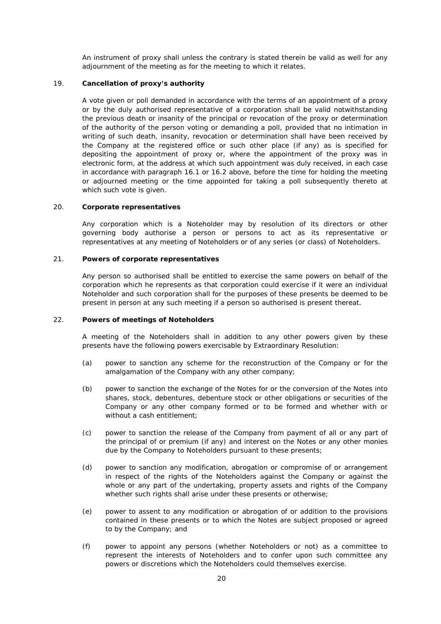An instrument of proxy shall unless the contrary is stated therein be valid as well for any adjournment of the meeting as for the meeting to which it relates.

# 19. **Cancellation of proxy's authority**

A vote given or poll demanded in accordance with the terms of an appointment of a proxy or by the duly authorised representative of a corporation shall be valid notwithstanding the previous death or insanity of the principal or revocation of the proxy or determination of the authority of the person voting or demanding a poll, provided that no intimation in writing of such death, insanity, revocation or determination shall have been received by the Company at the registered office or such other place (if any) as is specified for depositing the appointment of proxy or, where the appointment of the proxy was in electronic form, at the address at which such appointment was duly received, in each case in accordance with paragraph [16.1](#page-19-0) or [16.2](#page-20-0) above, before the time for holding the meeting or adjourned meeting or the time appointed for taking a poll subsequently thereto at which such vote is given.

# 20. **Corporate representatives**

Any corporation which is a Noteholder may by resolution of its directors or other governing body authorise a person or persons to act as its representative or representatives at any meeting of Noteholders or of any series (or class) of Noteholders.

#### 21. **Powers of corporate representatives**

Any person so authorised shall be entitled to exercise the same powers on behalf of the corporation which he represents as that corporation could exercise if it were an individual Noteholder and such corporation shall for the purposes of these presents be deemed to be present in person at any such meeting if a person so authorised is present thereat.

# 22. **Powers of meetings of Noteholders**

A meeting of the Noteholders shall in addition to any other powers given by these presents have the following powers exercisable by Extraordinary Resolution:

- (a) power to sanction any scheme for the reconstruction of the Company or for the amalgamation of the Company with any other company;
- (b) power to sanction the exchange of the Notes for or the conversion of the Notes into shares, stock, debentures, debenture stock or other obligations or securities of the Company or any other company formed or to be formed and whether with or without a cash entitlement:
- (c) power to sanction the release of the Company from payment of all or any part of the principal of or premium (if any) and interest on the Notes or any other monies due by the Company to Noteholders pursuant to these presents;
- (d) power to sanction any modification, abrogation or compromise of or arrangement in respect of the rights of the Noteholders against the Company or against the whole or any part of the undertaking, property assets and rights of the Company whether such rights shall arise under these presents or otherwise;
- (e) power to assent to any modification or abrogation of or addition to the provisions contained in these presents or to which the Notes are subject proposed or agreed to by the Company; and
- (f) power to appoint any persons (whether Noteholders or not) as a committee to represent the interests of Noteholders and to confer upon such committee any powers or discretions which the Noteholders could themselves exercise.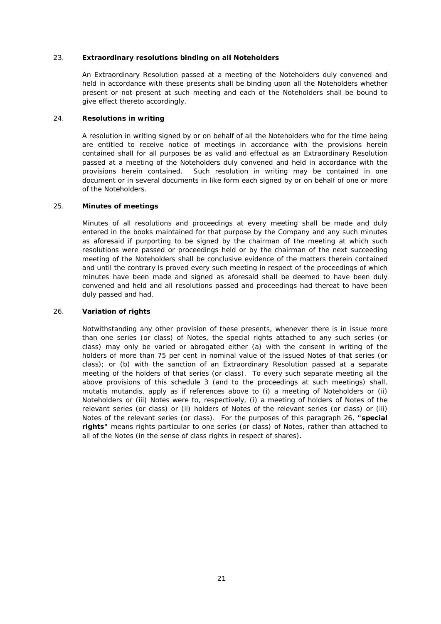# 23. **Extraordinary resolutions binding on all Noteholders**

An Extraordinary Resolution passed at a meeting of the Noteholders duly convened and held in accordance with these presents shall be binding upon all the Noteholders whether present or not present at such meeting and each of the Noteholders shall be bound to give effect thereto accordingly.

# 24. **Resolutions in writing**

A resolution in writing signed by or on behalf of all the Noteholders who for the time being are entitled to receive notice of meetings in accordance with the provisions herein contained shall for all purposes be as valid and effectual as an Extraordinary Resolution passed at a meeting of the Noteholders duly convened and held in accordance with the provisions herein contained. Such resolution in writing may be contained in one document or in several documents in like form each signed by or on behalf of one or more of the Noteholders.

#### 25. **Minutes of meetings**

Minutes of all resolutions and proceedings at every meeting shall be made and duly entered in the books maintained for that purpose by the Company and any such minutes as aforesaid if purporting to be signed by the chairman of the meeting at which such resolutions were passed or proceedings held or by the chairman of the next succeeding meeting of the Noteholders shall be conclusive evidence of the matters therein contained and until the contrary is proved every such meeting in respect of the proceedings of which minutes have been made and signed as aforesaid shall be deemed to have been duly convened and held and all resolutions passed and proceedings had thereat to have been duly passed and had.

# <span id="page-22-0"></span>26. **Variation of rights**

Notwithstanding any other provision of these presents, whenever there is in issue more than one series (or class) of Notes, the special rights attached to any such series (or class) may only be varied or abrogated either (a) with the consent in writing of the holders of more than 75 per cent in nominal value of the issued Notes of that series (or class); or (b) with the sanction of an Extraordinary Resolution passed at a separate meeting of the holders of that series (or class). To every such separate meeting all the above provisions of this [schedule 3](#page-17-0) (and to the proceedings at such meetings) shall, *mutatis mutandis*, apply as if references above to (i) a meeting of Noteholders or (ii) Noteholders or (iii) Notes were to, respectively, (i) a meeting of holders of Notes of the relevant series (or class) or (ii) holders of Notes of the relevant series (or class) or (iii) Notes of the relevant series (or class). For the purposes of this paragraph [26,](#page-22-0) **"special rights"** means rights particular to one series (or class) of Notes, rather than attached to all of the Notes (in the sense of class rights in respect of shares).